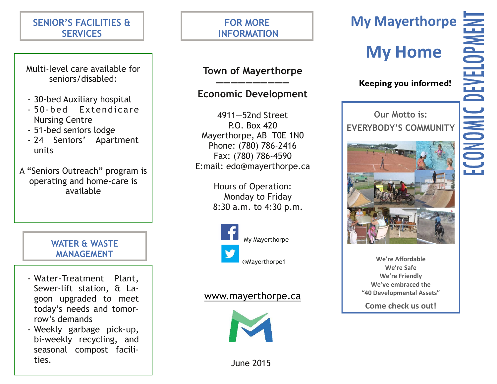# **SENIOR'S FACILITIES & SERVICES**

Multi-level care available for seniors/disabled:

- 30-bed Auxiliary hospital
- 50 -bed Extendicare Nursing Centre
- 51-bed seniors lodge
- 24 Seniors' Apartment units
- A "Seniors Outreach" program is operating and home-care is available

**WATER & WASTE MANAGEMENT**

- Water-Treatment Plant, Sewer-lift station, & Lagoon upgraded to meet today's needs and tomorrow's demands
- Weekly garbage pick-up, bi-weekly recycling, and seasonal compost facilities.

# **FOR MORE INFORMATION**

## **Town of Mayerthorpe ——————————**

# **Economic Development**

4911—52nd Street P.O. Box 420 Mayerthorpe, AB T0E 1N0 Phone: (780) 786-2416 Fax: (780) 786-4590 E:mail: edo@mayerthorpe.ca

> Hours of Operation: Monday to Friday 8:30 a.m. to 4:30 p.m.



# www.mayerthorpe.ca



# **My Home**

# **Keeping you informed!**

**Our Motto is: EVERYBODY'S COMMUNITY**



**We're Affordable We're Safe We're Friendly We've embraced the "40 Developmental Assets"**

**Come check us out!**